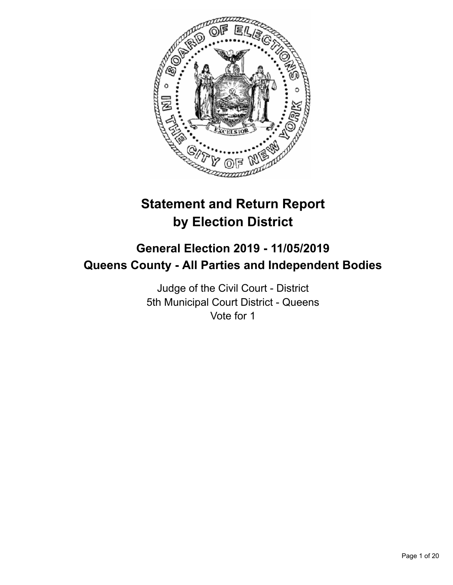

# **Statement and Return Report by Election District**

# **General Election 2019 - 11/05/2019 Queens County - All Parties and Independent Bodies**

Judge of the Civil Court - District 5th Municipal Court District - Queens Vote for 1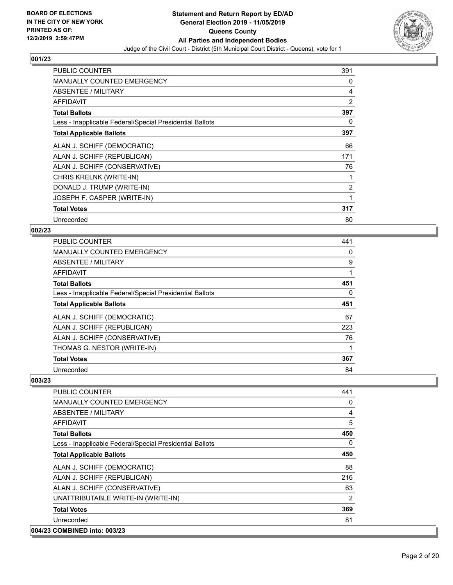

| <b>PUBLIC COUNTER</b>                                    | 391 |
|----------------------------------------------------------|-----|
| <b>MANUALLY COUNTED EMERGENCY</b>                        | 0   |
| ABSENTEE / MILITARY                                      | 4   |
| <b>AFFIDAVIT</b>                                         | 2   |
| <b>Total Ballots</b>                                     | 397 |
| Less - Inapplicable Federal/Special Presidential Ballots | 0   |
| <b>Total Applicable Ballots</b>                          | 397 |
| ALAN J. SCHIFF (DEMOCRATIC)                              | 66  |
| ALAN J. SCHIFF (REPUBLICAN)                              | 171 |
| ALAN J. SCHIFF (CONSERVATIVE)                            | 76  |
| CHRIS KRELNK (WRITE-IN)                                  | 1   |
| DONALD J. TRUMP (WRITE-IN)                               | 2   |
| JOSEPH F. CASPER (WRITE-IN)                              | 1   |
| <b>Total Votes</b>                                       | 317 |
| Unrecorded                                               | 80  |

#### **002/23**

| <b>PUBLIC COUNTER</b>                                    | 441 |
|----------------------------------------------------------|-----|
| <b>MANUALLY COUNTED EMERGENCY</b>                        | 0   |
| ABSENTEE / MILITARY                                      | 9   |
| <b>AFFIDAVIT</b>                                         |     |
| <b>Total Ballots</b>                                     | 451 |
| Less - Inapplicable Federal/Special Presidential Ballots | 0   |
| <b>Total Applicable Ballots</b>                          | 451 |
| ALAN J. SCHIFF (DEMOCRATIC)                              | 67  |
| ALAN J. SCHIFF (REPUBLICAN)                              | 223 |
| ALAN J. SCHIFF (CONSERVATIVE)                            | 76  |
| THOMAS G. NESTOR (WRITE-IN)                              | 1   |
| <b>Total Votes</b>                                       | 367 |
| Unrecorded                                               | 84  |

| PUBLIC COUNTER                                           | 441            |
|----------------------------------------------------------|----------------|
| MANUALLY COUNTED EMERGENCY                               | 0              |
| <b>ABSENTEE / MILITARY</b>                               | 4              |
| AFFIDAVIT                                                | 5              |
| <b>Total Ballots</b>                                     | 450            |
| Less - Inapplicable Federal/Special Presidential Ballots | $\Omega$       |
| <b>Total Applicable Ballots</b>                          | 450            |
| ALAN J. SCHIFF (DEMOCRATIC)                              | 88             |
| ALAN J. SCHIFF (REPUBLICAN)                              | 216            |
| ALAN J. SCHIFF (CONSERVATIVE)                            | 63             |
| UNATTRIBUTABLE WRITE-IN (WRITE-IN)                       | $\overline{2}$ |
| <b>Total Votes</b>                                       | 369            |
| Unrecorded                                               | 81             |
| 004/23 COMBINED into: 003/23                             |                |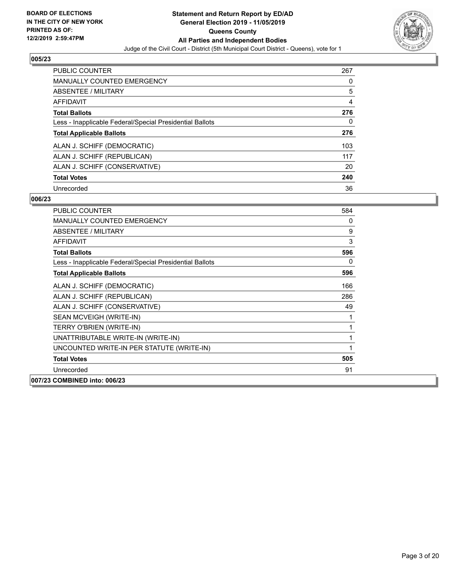

| <b>PUBLIC COUNTER</b>                                    | 267 |
|----------------------------------------------------------|-----|
| <b>MANUALLY COUNTED EMERGENCY</b>                        | 0   |
| ABSENTEE / MILITARY                                      | 5   |
| AFFIDAVIT                                                | 4   |
| <b>Total Ballots</b>                                     | 276 |
| Less - Inapplicable Federal/Special Presidential Ballots | 0   |
| <b>Total Applicable Ballots</b>                          | 276 |
| ALAN J. SCHIFF (DEMOCRATIC)                              | 103 |
| ALAN J. SCHIFF (REPUBLICAN)                              | 117 |
| ALAN J. SCHIFF (CONSERVATIVE)                            | 20  |
| <b>Total Votes</b>                                       | 240 |
| Unrecorded                                               | 36  |

| <b>PUBLIC COUNTER</b>                                    | 584 |
|----------------------------------------------------------|-----|
| <b>MANUALLY COUNTED EMERGENCY</b>                        | 0   |
| ABSENTEE / MILITARY                                      | 9   |
| <b>AFFIDAVIT</b>                                         | 3   |
| <b>Total Ballots</b>                                     | 596 |
| Less - Inapplicable Federal/Special Presidential Ballots | 0   |
| <b>Total Applicable Ballots</b>                          | 596 |
| ALAN J. SCHIFF (DEMOCRATIC)                              | 166 |
| ALAN J. SCHIFF (REPUBLICAN)                              | 286 |
| ALAN J. SCHIFF (CONSERVATIVE)                            | 49  |
| SEAN MCVEIGH (WRITE-IN)                                  | 1   |
| TERRY O'BRIEN (WRITE-IN)                                 | 1   |
| UNATTRIBUTABLE WRITE-IN (WRITE-IN)                       | 1   |
| UNCOUNTED WRITE-IN PER STATUTE (WRITE-IN)                | 1   |
| <b>Total Votes</b>                                       | 505 |
| Unrecorded                                               | 91  |
| 007/23 COMBINED into: 006/23                             |     |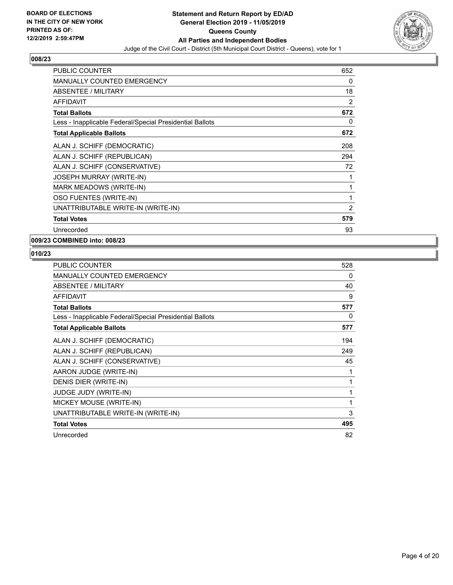

| PUBLIC COUNTER                                           | 652            |
|----------------------------------------------------------|----------------|
| <b>MANUALLY COUNTED EMERGENCY</b>                        | 0              |
| <b>ABSENTEE / MILITARY</b>                               | 18             |
| <b>AFFIDAVIT</b>                                         | 2              |
| <b>Total Ballots</b>                                     | 672            |
| Less - Inapplicable Federal/Special Presidential Ballots | 0              |
| <b>Total Applicable Ballots</b>                          | 672            |
| ALAN J. SCHIFF (DEMOCRATIC)                              | 208            |
| ALAN J. SCHIFF (REPUBLICAN)                              | 294            |
| ALAN J. SCHIFF (CONSERVATIVE)                            | 72             |
| <b>JOSEPH MURRAY (WRITE-IN)</b>                          | 1              |
| MARK MEADOWS (WRITE-IN)                                  | 1              |
| OSO FUENTES (WRITE-IN)                                   | 1              |
| UNATTRIBUTABLE WRITE-IN (WRITE-IN)                       | $\overline{2}$ |
| <b>Total Votes</b>                                       | 579            |
| Unrecorded                                               | 93             |

#### **009/23 COMBINED into: 008/23**

| PUBLIC COUNTER                                           | 528 |
|----------------------------------------------------------|-----|
| <b>MANUALLY COUNTED EMERGENCY</b>                        | 0   |
| ABSENTEE / MILITARY                                      | 40  |
| <b>AFFIDAVIT</b>                                         | 9   |
| <b>Total Ballots</b>                                     | 577 |
| Less - Inapplicable Federal/Special Presidential Ballots | 0   |
| <b>Total Applicable Ballots</b>                          | 577 |
| ALAN J. SCHIFF (DEMOCRATIC)                              | 194 |
| ALAN J. SCHIFF (REPUBLICAN)                              | 249 |
| ALAN J. SCHIFF (CONSERVATIVE)                            | 45  |
| AARON JUDGE (WRITE-IN)                                   | 1   |
| DENIS DIER (WRITE-IN)                                    | 1   |
| <b>JUDGE JUDY (WRITE-IN)</b>                             |     |
| MICKEY MOUSE (WRITE-IN)                                  | 1   |
| UNATTRIBUTABLE WRITE-IN (WRITE-IN)                       | 3   |
| <b>Total Votes</b>                                       | 495 |
| Unrecorded                                               | 82  |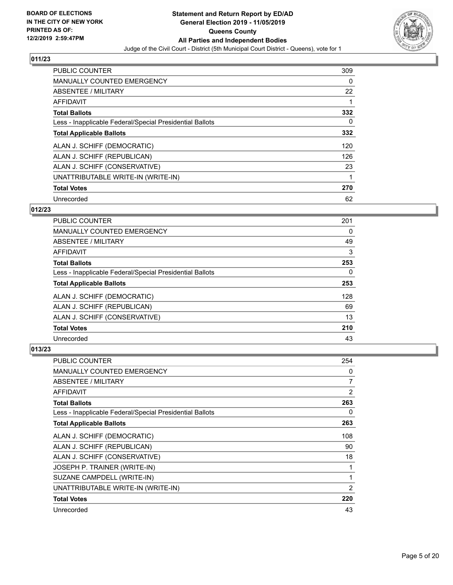

| PUBLIC COUNTER                                           | 309 |
|----------------------------------------------------------|-----|
| <b>MANUALLY COUNTED EMERGENCY</b>                        | 0   |
| ABSENTEE / MILITARY                                      | 22  |
| <b>AFFIDAVIT</b>                                         |     |
| <b>Total Ballots</b>                                     | 332 |
| Less - Inapplicable Federal/Special Presidential Ballots | 0   |
| <b>Total Applicable Ballots</b>                          | 332 |
| ALAN J. SCHIFF (DEMOCRATIC)                              | 120 |
| ALAN J. SCHIFF (REPUBLICAN)                              | 126 |
| ALAN J. SCHIFF (CONSERVATIVE)                            | 23  |
| UNATTRIBUTABLE WRITE-IN (WRITE-IN)                       | 1   |
| <b>Total Votes</b>                                       | 270 |
| Unrecorded                                               | 62  |

#### **012/23**

| <b>PUBLIC COUNTER</b>                                    | 201      |
|----------------------------------------------------------|----------|
| <b>MANUALLY COUNTED EMERGENCY</b>                        | 0        |
| ABSENTEE / MILITARY                                      | 49       |
| <b>AFFIDAVIT</b>                                         | 3        |
| <b>Total Ballots</b>                                     | 253      |
| Less - Inapplicable Federal/Special Presidential Ballots | $\Omega$ |
| <b>Total Applicable Ballots</b>                          | 253      |
| ALAN J. SCHIFF (DEMOCRATIC)                              | 128      |
| ALAN J. SCHIFF (REPUBLICAN)                              | 69       |
| ALAN J. SCHIFF (CONSERVATIVE)                            | 13       |
| <b>Total Votes</b>                                       | 210      |
| Unrecorded                                               | 43       |

| PUBLIC COUNTER                                           | 254            |
|----------------------------------------------------------|----------------|
| <b>MANUALLY COUNTED EMERGENCY</b>                        | 0              |
| ABSENTEE / MILITARY                                      | 7              |
| AFFIDAVIT                                                | 2              |
| <b>Total Ballots</b>                                     | 263            |
| Less - Inapplicable Federal/Special Presidential Ballots | 0              |
| <b>Total Applicable Ballots</b>                          | 263            |
| ALAN J. SCHIFF (DEMOCRATIC)                              | 108            |
| ALAN J. SCHIFF (REPUBLICAN)                              | 90             |
| ALAN J. SCHIFF (CONSERVATIVE)                            | 18             |
| JOSEPH P. TRAINER (WRITE-IN)                             | 1              |
| SUZANE CAMPDELL (WRITE-IN)                               | 1              |
| UNATTRIBUTABLE WRITE-IN (WRITE-IN)                       | $\overline{2}$ |
| <b>Total Votes</b>                                       | 220            |
| Unrecorded                                               | 43             |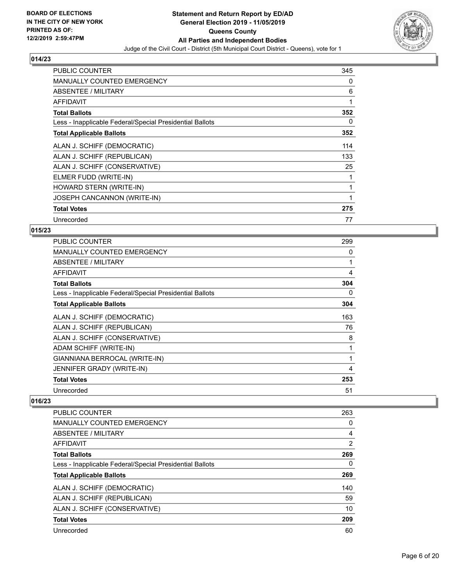

| <b>PUBLIC COUNTER</b>                                    | 345 |
|----------------------------------------------------------|-----|
| MANUALLY COUNTED EMERGENCY                               | 0   |
| ABSENTEE / MILITARY                                      | 6   |
| <b>AFFIDAVIT</b>                                         | 1   |
| <b>Total Ballots</b>                                     | 352 |
| Less - Inapplicable Federal/Special Presidential Ballots | 0   |
| <b>Total Applicable Ballots</b>                          | 352 |
| ALAN J. SCHIFF (DEMOCRATIC)                              | 114 |
| ALAN J. SCHIFF (REPUBLICAN)                              | 133 |
| ALAN J. SCHIFF (CONSERVATIVE)                            | 25  |
| ELMER FUDD (WRITE-IN)                                    | 1   |
| HOWARD STERN (WRITE-IN)                                  | 1   |
| JOSEPH CANCANNON (WRITE-IN)                              | 1   |
| <b>Total Votes</b>                                       | 275 |
| Unrecorded                                               | 77  |

#### **015/23**

| <b>PUBLIC COUNTER</b>                                    | 299 |
|----------------------------------------------------------|-----|
| MANUALLY COUNTED EMERGENCY                               | 0   |
| ABSENTEE / MILITARY                                      | 1   |
| AFFIDAVIT                                                | 4   |
| <b>Total Ballots</b>                                     | 304 |
| Less - Inapplicable Federal/Special Presidential Ballots | 0   |
| <b>Total Applicable Ballots</b>                          | 304 |
| ALAN J. SCHIFF (DEMOCRATIC)                              | 163 |
| ALAN J. SCHIFF (REPUBLICAN)                              | 76  |
| ALAN J. SCHIFF (CONSERVATIVE)                            | 8   |
| ADAM SCHIFF (WRITE-IN)                                   | 1   |
| GIANNIANA BERROCAL (WRITE-IN)                            | 1   |
| <b>JENNIFER GRADY (WRITE-IN)</b>                         | 4   |
| <b>Total Votes</b>                                       | 253 |
| Unrecorded                                               | 51  |

| <b>PUBLIC COUNTER</b>                                    | 263 |
|----------------------------------------------------------|-----|
| <b>MANUALLY COUNTED EMERGENCY</b>                        | 0   |
| ABSENTEE / MILITARY                                      | 4   |
| <b>AFFIDAVIT</b>                                         | 2   |
| <b>Total Ballots</b>                                     | 269 |
| Less - Inapplicable Federal/Special Presidential Ballots | 0   |
| <b>Total Applicable Ballots</b>                          | 269 |
| ALAN J. SCHIFF (DEMOCRATIC)                              | 140 |
| ALAN J. SCHIFF (REPUBLICAN)                              | 59  |
| ALAN J. SCHIFF (CONSERVATIVE)                            | 10  |
| <b>Total Votes</b>                                       | 209 |
| Unrecorded                                               | 60  |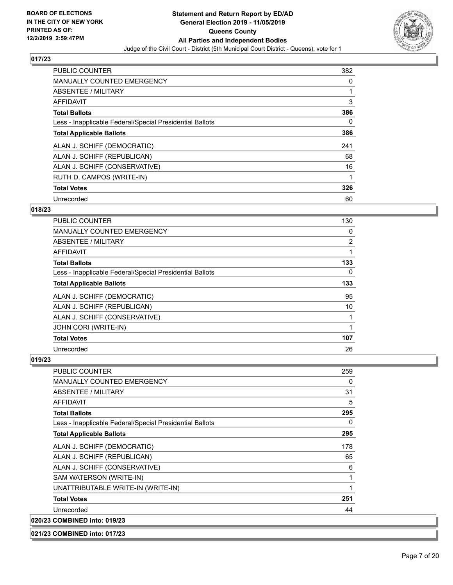

| <b>PUBLIC COUNTER</b>                                    | 382 |
|----------------------------------------------------------|-----|
| <b>MANUALLY COUNTED EMERGENCY</b>                        | 0   |
| ABSENTEE / MILITARY                                      |     |
| <b>AFFIDAVIT</b>                                         | 3   |
| <b>Total Ballots</b>                                     | 386 |
| Less - Inapplicable Federal/Special Presidential Ballots | 0   |
| <b>Total Applicable Ballots</b>                          | 386 |
| ALAN J. SCHIFF (DEMOCRATIC)                              | 241 |
| ALAN J. SCHIFF (REPUBLICAN)                              | 68  |
| ALAN J. SCHIFF (CONSERVATIVE)                            | 16  |
| RUTH D. CAMPOS (WRITE-IN)                                |     |
| <b>Total Votes</b>                                       | 326 |
| Unrecorded                                               | 60  |

#### **018/23**

| <b>PUBLIC COUNTER</b>                                    | 130            |
|----------------------------------------------------------|----------------|
| MANUALLY COUNTED EMERGENCY                               | 0              |
| <b>ABSENTEE / MILITARY</b>                               | $\overline{2}$ |
| AFFIDAVIT                                                |                |
| <b>Total Ballots</b>                                     | 133            |
| Less - Inapplicable Federal/Special Presidential Ballots | $\Omega$       |
| <b>Total Applicable Ballots</b>                          | 133            |
| ALAN J. SCHIFF (DEMOCRATIC)                              | 95             |
| ALAN J. SCHIFF (REPUBLICAN)                              | 10             |
| ALAN J. SCHIFF (CONSERVATIVE)                            |                |
| JOHN CORI (WRITE-IN)                                     |                |
| <b>Total Votes</b>                                       | 107            |
| Unrecorded                                               | 26             |

| <b>PUBLIC COUNTER</b>                                    | 259 |
|----------------------------------------------------------|-----|
| <b>MANUALLY COUNTED EMERGENCY</b>                        | 0   |
| ABSENTEE / MILITARY                                      | 31  |
| <b>AFFIDAVIT</b>                                         | 5   |
| <b>Total Ballots</b>                                     | 295 |
| Less - Inapplicable Federal/Special Presidential Ballots | 0   |
| <b>Total Applicable Ballots</b>                          | 295 |
| ALAN J. SCHIFF (DEMOCRATIC)                              | 178 |
| ALAN J. SCHIFF (REPUBLICAN)                              | 65  |
| ALAN J. SCHIFF (CONSERVATIVE)                            | 6   |
| SAM WATERSON (WRITE-IN)                                  | 1   |
| UNATTRIBUTABLE WRITE-IN (WRITE-IN)                       | 1   |
| <b>Total Votes</b>                                       | 251 |
| Unrecorded                                               | 44  |
| 020/23 COMBINED into: 019/23                             |     |
| 021/23 COMBINED into: 017/23                             |     |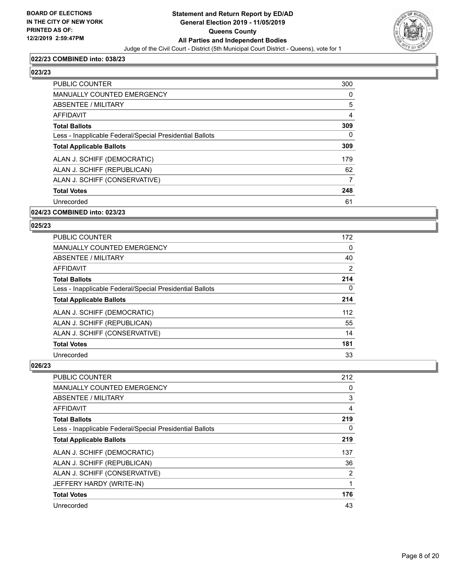

#### **022/23 COMBINED into: 038/23**

#### **023/23**

| <b>PUBLIC COUNTER</b>                                    | 300 |
|----------------------------------------------------------|-----|
| <b>MANUALLY COUNTED EMERGENCY</b>                        | 0   |
| ABSENTEE / MILITARY                                      | 5   |
| AFFIDAVIT                                                | 4   |
| <b>Total Ballots</b>                                     | 309 |
| Less - Inapplicable Federal/Special Presidential Ballots | 0   |
| <b>Total Applicable Ballots</b>                          | 309 |
| ALAN J. SCHIFF (DEMOCRATIC)                              | 179 |
| ALAN J. SCHIFF (REPUBLICAN)                              | 62  |
| ALAN J. SCHIFF (CONSERVATIVE)                            | 7   |
| <b>Total Votes</b>                                       | 248 |
| Unrecorded                                               | 61  |
|                                                          |     |

#### **024/23 COMBINED into: 023/23**

#### **025/23**

| PUBLIC COUNTER                                           | 172 |
|----------------------------------------------------------|-----|
| <b>MANUALLY COUNTED EMERGENCY</b>                        | 0   |
| ABSENTEE / MILITARY                                      | 40  |
| AFFIDAVIT                                                | 2   |
| <b>Total Ballots</b>                                     | 214 |
| Less - Inapplicable Federal/Special Presidential Ballots | 0   |
| <b>Total Applicable Ballots</b>                          | 214 |
| ALAN J. SCHIFF (DEMOCRATIC)                              | 112 |
| ALAN J. SCHIFF (REPUBLICAN)                              | 55  |
| ALAN J. SCHIFF (CONSERVATIVE)                            | 14  |
| <b>Total Votes</b>                                       | 181 |
| Unrecorded                                               | 33  |

| <b>PUBLIC COUNTER</b>                                    | 212 |
|----------------------------------------------------------|-----|
| <b>MANUALLY COUNTED EMERGENCY</b>                        | 0   |
| ABSENTEE / MILITARY                                      | 3   |
| AFFIDAVIT                                                | 4   |
| <b>Total Ballots</b>                                     | 219 |
| Less - Inapplicable Federal/Special Presidential Ballots | 0   |
| <b>Total Applicable Ballots</b>                          | 219 |
| ALAN J. SCHIFF (DEMOCRATIC)                              | 137 |
| ALAN J. SCHIFF (REPUBLICAN)                              | 36  |
| ALAN J. SCHIFF (CONSERVATIVE)                            | 2   |
| JEFFERY HARDY (WRITE-IN)                                 | 1   |
| <b>Total Votes</b>                                       | 176 |
| Unrecorded                                               | 43  |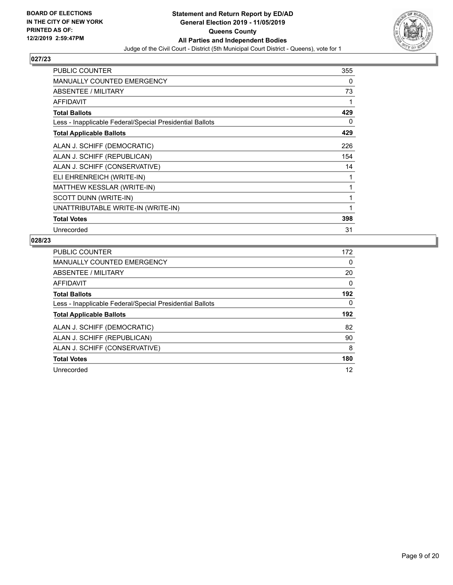

| <b>PUBLIC COUNTER</b>                                    | 355 |
|----------------------------------------------------------|-----|
| MANUALLY COUNTED EMERGENCY                               | 0   |
| ABSENTEE / MILITARY                                      | 73  |
| AFFIDAVIT                                                | 1   |
| <b>Total Ballots</b>                                     | 429 |
| Less - Inapplicable Federal/Special Presidential Ballots | 0   |
| <b>Total Applicable Ballots</b>                          | 429 |
| ALAN J. SCHIFF (DEMOCRATIC)                              | 226 |
| ALAN J. SCHIFF (REPUBLICAN)                              | 154 |
| ALAN J. SCHIFF (CONSERVATIVE)                            | 14  |
| ELI EHRENREICH (WRITE-IN)                                | 1   |
| MATTHEW KESSLAR (WRITE-IN)                               | 1   |
| SCOTT DUNN (WRITE-IN)                                    | 1   |
| UNATTRIBUTABLE WRITE-IN (WRITE-IN)                       | 1   |
| <b>Total Votes</b>                                       | 398 |
| Unrecorded                                               | 31  |

| <b>PUBLIC COUNTER</b>                                    | 172      |
|----------------------------------------------------------|----------|
| MANUALLY COUNTED EMERGENCY                               | 0        |
| ABSENTEE / MILITARY                                      | 20       |
| <b>AFFIDAVIT</b>                                         | $\Omega$ |
| <b>Total Ballots</b>                                     | 192      |
| Less - Inapplicable Federal/Special Presidential Ballots | $\Omega$ |
| <b>Total Applicable Ballots</b>                          | 192      |
|                                                          |          |
| ALAN J. SCHIFF (DEMOCRATIC)                              | 82       |
| ALAN J. SCHIFF (REPUBLICAN)                              | 90       |
| ALAN J. SCHIFF (CONSERVATIVE)                            | 8        |
| <b>Total Votes</b>                                       | 180      |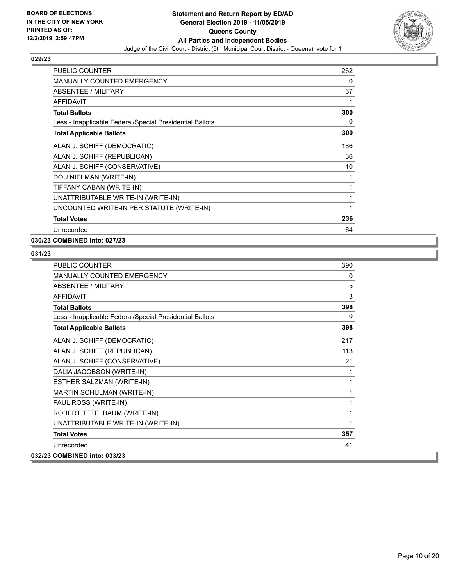

| <b>PUBLIC COUNTER</b>                                    | 262 |
|----------------------------------------------------------|-----|
| MANUALLY COUNTED EMERGENCY                               | 0   |
| ABSENTEE / MILITARY                                      | 37  |
| <b>AFFIDAVIT</b>                                         | 1   |
| <b>Total Ballots</b>                                     | 300 |
| Less - Inapplicable Federal/Special Presidential Ballots | 0   |
| <b>Total Applicable Ballots</b>                          | 300 |
| ALAN J. SCHIFF (DEMOCRATIC)                              | 186 |
| ALAN J. SCHIFF (REPUBLICAN)                              | 36  |
| ALAN J. SCHIFF (CONSERVATIVE)                            | 10  |
| DOU NIELMAN (WRITE-IN)                                   | 1   |
| TIFFANY CABAN (WRITE-IN)                                 | 1   |
| UNATTRIBUTABLE WRITE-IN (WRITE-IN)                       | 1   |
| UNCOUNTED WRITE-IN PER STATUTE (WRITE-IN)                | 1   |
| <b>Total Votes</b>                                       | 236 |
| Unrecorded                                               | 64  |

#### **030/23 COMBINED into: 027/23**

| <b>PUBLIC COUNTER</b>                                    | 390 |
|----------------------------------------------------------|-----|
| <b>MANUALLY COUNTED EMERGENCY</b>                        | 0   |
| ABSENTEE / MILITARY                                      | 5   |
| <b>AFFIDAVIT</b>                                         | 3   |
| <b>Total Ballots</b>                                     | 398 |
| Less - Inapplicable Federal/Special Presidential Ballots | 0   |
| <b>Total Applicable Ballots</b>                          | 398 |
| ALAN J. SCHIFF (DEMOCRATIC)                              | 217 |
| ALAN J. SCHIFF (REPUBLICAN)                              | 113 |
| ALAN J. SCHIFF (CONSERVATIVE)                            | 21  |
| DALIA JACOBSON (WRITE-IN)                                | 1   |
| ESTHER SALZMAN (WRITE-IN)                                | 1   |
| MARTIN SCHULMAN (WRITE-IN)                               | 1   |
| PAUL ROSS (WRITE-IN)                                     | 1   |
| ROBERT TETELBAUM (WRITE-IN)                              | 1   |
| UNATTRIBUTABLE WRITE-IN (WRITE-IN)                       | 1   |
| <b>Total Votes</b>                                       | 357 |
| Unrecorded                                               | 41  |
| 032/23 COMBINED into: 033/23                             |     |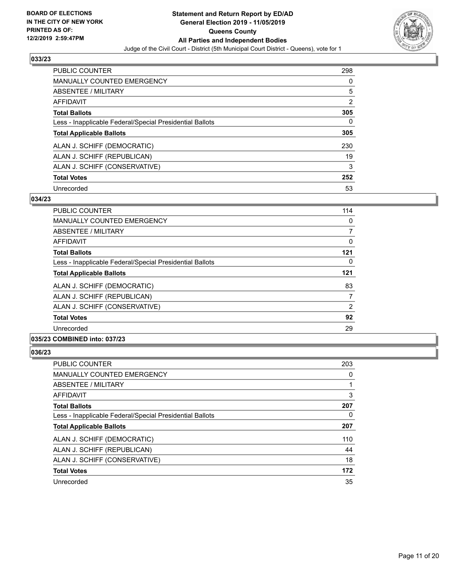

| <b>PUBLIC COUNTER</b>                                    | 298      |
|----------------------------------------------------------|----------|
| <b>MANUALLY COUNTED EMERGENCY</b>                        | $\Omega$ |
| ABSENTEE / MILITARY                                      | 5        |
| <b>AFFIDAVIT</b>                                         | 2        |
| <b>Total Ballots</b>                                     | 305      |
| Less - Inapplicable Federal/Special Presidential Ballots | 0        |
| <b>Total Applicable Ballots</b>                          | 305      |
| ALAN J. SCHIFF (DEMOCRATIC)                              | 230      |
| ALAN J. SCHIFF (REPUBLICAN)                              | 19       |
| ALAN J. SCHIFF (CONSERVATIVE)                            | 3        |
| <b>Total Votes</b>                                       | 252      |
| Unrecorded                                               | 53       |

| PUBLIC COUNTER                                           | 114            |
|----------------------------------------------------------|----------------|
| <b>MANUALLY COUNTED EMERGENCY</b>                        | 0              |
| ABSENTEE / MILITARY                                      | $\overline{7}$ |
| AFFIDAVIT                                                | 0              |
| <b>Total Ballots</b>                                     | 121            |
| Less - Inapplicable Federal/Special Presidential Ballots | 0              |
| <b>Total Applicable Ballots</b>                          | 121            |
| ALAN J. SCHIFF (DEMOCRATIC)                              | 83             |
| ALAN J. SCHIFF (REPUBLICAN)                              | 7              |
| ALAN J. SCHIFF (CONSERVATIVE)                            | 2              |
| <b>Total Votes</b>                                       | 92             |
| Unrecorded                                               | 29             |
| 035/23 COMBINED into: 037/23                             |                |

| ×<br>۰. |  |
|---------|--|
|         |  |

| <b>PUBLIC COUNTER</b>                                    | 203 |
|----------------------------------------------------------|-----|
| <b>MANUALLY COUNTED EMERGENCY</b>                        | 0   |
| ABSENTEE / MILITARY                                      |     |
| AFFIDAVIT                                                | 3   |
| <b>Total Ballots</b>                                     | 207 |
| Less - Inapplicable Federal/Special Presidential Ballots | 0   |
| <b>Total Applicable Ballots</b>                          | 207 |
| ALAN J. SCHIFF (DEMOCRATIC)                              | 110 |
| ALAN J. SCHIFF (REPUBLICAN)                              | 44  |
| ALAN J. SCHIFF (CONSERVATIVE)                            | 18  |
| <b>Total Votes</b>                                       | 172 |
| Unrecorded                                               | 35  |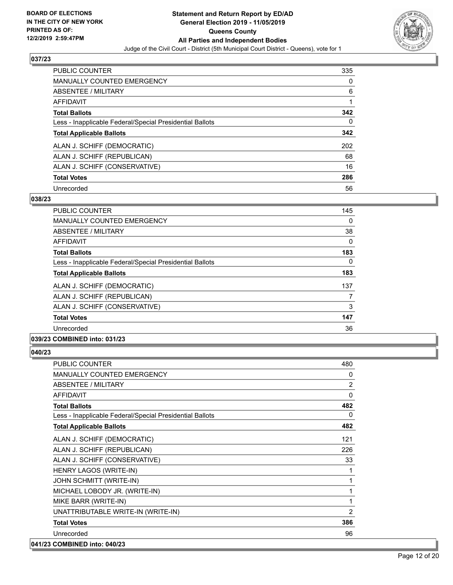

| <b>PUBLIC COUNTER</b>                                    | 335 |
|----------------------------------------------------------|-----|
| MANUALLY COUNTED EMERGENCY                               | 0   |
| ABSENTEE / MILITARY                                      | 6   |
| AFFIDAVIT                                                |     |
| <b>Total Ballots</b>                                     | 342 |
| Less - Inapplicable Federal/Special Presidential Ballots | 0   |
| <b>Total Applicable Ballots</b>                          | 342 |
| ALAN J. SCHIFF (DEMOCRATIC)                              | 202 |
| ALAN J. SCHIFF (REPUBLICAN)                              | 68  |
| ALAN J. SCHIFF (CONSERVATIVE)                            | 16  |
| <b>Total Votes</b>                                       | 286 |
| Unrecorded                                               | 56  |

#### **038/23**

| <b>PUBLIC COUNTER</b>                                    | 145      |
|----------------------------------------------------------|----------|
| <b>MANUALLY COUNTED EMERGENCY</b>                        | 0        |
| ABSENTEE / MILITARY                                      | 38       |
| AFFIDAVIT                                                | $\Omega$ |
| <b>Total Ballots</b>                                     | 183      |
| Less - Inapplicable Federal/Special Presidential Ballots | 0        |
| <b>Total Applicable Ballots</b>                          | 183      |
| ALAN J. SCHIFF (DEMOCRATIC)                              | 137      |
| ALAN J. SCHIFF (REPUBLICAN)                              | 7        |
| ALAN J. SCHIFF (CONSERVATIVE)                            | 3        |
| <b>Total Votes</b>                                       | 147      |
| Unrecorded                                               | 36       |
| $A$ $A$ $B$ $B$ $B$ $B$ $B$ $A$ $A$ $A$ $A$ $A$ $A$ $A$  |          |

#### **039/23 COMBINED into: 031/23**

| <b>PUBLIC COUNTER</b>                                    | 480      |
|----------------------------------------------------------|----------|
| <b>MANUALLY COUNTED EMERGENCY</b>                        | 0        |
| <b>ABSENTEE / MILITARY</b>                               | 2        |
| <b>AFFIDAVIT</b>                                         | $\Omega$ |
| <b>Total Ballots</b>                                     | 482      |
| Less - Inapplicable Federal/Special Presidential Ballots | 0        |
| <b>Total Applicable Ballots</b>                          | 482      |
| ALAN J. SCHIFF (DEMOCRATIC)                              | 121      |
| ALAN J. SCHIFF (REPUBLICAN)                              | 226      |
| ALAN J. SCHIFF (CONSERVATIVE)                            | 33       |
| HENRY LAGOS (WRITE-IN)                                   | 1        |
| JOHN SCHMITT (WRITE-IN)                                  | 1        |
| MICHAEL LOBODY JR. (WRITE-IN)                            | 1        |
| MIKE BARR (WRITE-IN)                                     | 1        |
| UNATTRIBUTABLE WRITE-IN (WRITE-IN)                       | 2        |
| <b>Total Votes</b>                                       | 386      |
| Unrecorded                                               | 96       |
| 041/23 COMBINED into: 040/23                             |          |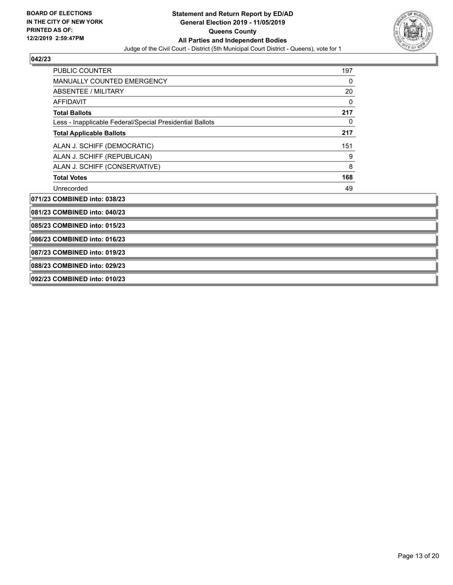

| PUBLIC COUNTER                                           | 197 |  |
|----------------------------------------------------------|-----|--|
| <b>MANUALLY COUNTED EMERGENCY</b>                        | 0   |  |
| <b>ABSENTEE / MILITARY</b>                               | 20  |  |
| <b>AFFIDAVIT</b>                                         | 0   |  |
| <b>Total Ballots</b>                                     | 217 |  |
| Less - Inapplicable Federal/Special Presidential Ballots | 0   |  |
| <b>Total Applicable Ballots</b>                          | 217 |  |
| ALAN J. SCHIFF (DEMOCRATIC)                              | 151 |  |
| ALAN J. SCHIFF (REPUBLICAN)                              | 9   |  |
| ALAN J. SCHIFF (CONSERVATIVE)                            | 8   |  |
| <b>Total Votes</b>                                       | 168 |  |
| Unrecorded                                               | 49  |  |
| 071/23 COMBINED into: 038/23                             |     |  |
| 081/23 COMBINED into: 040/23                             |     |  |
| 085/23 COMBINED into: 015/23                             |     |  |
| 086/23 COMBINED into: 016/23                             |     |  |
| 087/23 COMBINED into: 019/23                             |     |  |
| 088/23 COMBINED into: 029/23                             |     |  |
| 092/23 COMBINED into: 010/23                             |     |  |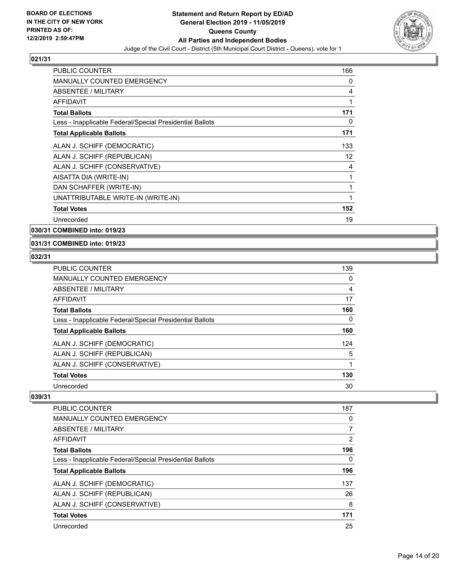

| PUBLIC COUNTER                                           | 166 |
|----------------------------------------------------------|-----|
| <b>MANUALLY COUNTED EMERGENCY</b>                        | 0   |
| ABSENTEE / MILITARY                                      | 4   |
| <b>AFFIDAVIT</b>                                         | 1   |
| <b>Total Ballots</b>                                     | 171 |
| Less - Inapplicable Federal/Special Presidential Ballots | 0   |
| <b>Total Applicable Ballots</b>                          | 171 |
| ALAN J. SCHIFF (DEMOCRATIC)                              | 133 |
| ALAN J. SCHIFF (REPUBLICAN)                              | 12  |
| ALAN J. SCHIFF (CONSERVATIVE)                            | 4   |
| AISATTA DIA (WRITE-IN)                                   | 1   |
| DAN SCHAFFER (WRITE-IN)                                  | 1   |
| UNATTRIBUTABLE WRITE-IN (WRITE-IN)                       | 1   |
| <b>Total Votes</b>                                       | 152 |
| Unrecorded                                               | 19  |

**030/31 COMBINED into: 019/23**

#### **031/31 COMBINED into: 019/23**

#### **032/31**

| PUBLIC COUNTER                                           | 139      |
|----------------------------------------------------------|----------|
| <b>MANUALLY COUNTED EMERGENCY</b>                        | 0        |
| ABSENTEE / MILITARY                                      | 4        |
| AFFIDAVIT                                                | 17       |
| <b>Total Ballots</b>                                     | 160      |
| Less - Inapplicable Federal/Special Presidential Ballots | $\Omega$ |
| <b>Total Applicable Ballots</b>                          | 160      |
| ALAN J. SCHIFF (DEMOCRATIC)                              | 124      |
| ALAN J. SCHIFF (REPUBLICAN)                              | 5        |
| ALAN J. SCHIFF (CONSERVATIVE)                            |          |
| <b>Total Votes</b>                                       | 130      |
| Unrecorded                                               | 30       |

| <b>PUBLIC COUNTER</b>                                    | 187 |
|----------------------------------------------------------|-----|
| MANUALLY COUNTED EMERGENCY                               | 0   |
| ABSENTEE / MILITARY                                      | 7   |
| AFFIDAVIT                                                | 2   |
| <b>Total Ballots</b>                                     | 196 |
| Less - Inapplicable Federal/Special Presidential Ballots | 0   |
| <b>Total Applicable Ballots</b>                          | 196 |
| ALAN J. SCHIFF (DEMOCRATIC)                              | 137 |
| ALAN J. SCHIFF (REPUBLICAN)                              | 26  |
| ALAN J. SCHIFF (CONSERVATIVE)                            | 8   |
| <b>Total Votes</b>                                       | 171 |
| Unrecorded                                               | 25  |
|                                                          |     |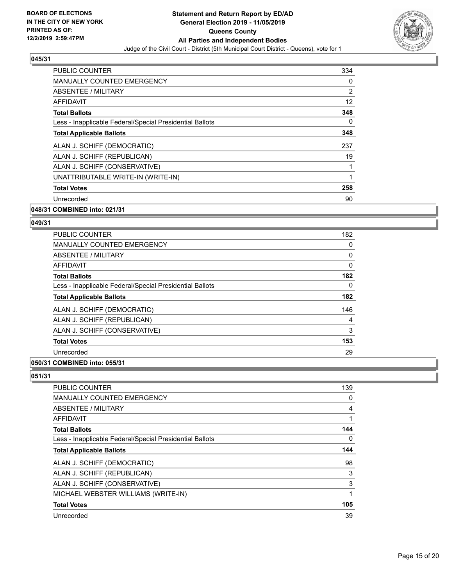

| <b>PUBLIC COUNTER</b>                                    | 334               |
|----------------------------------------------------------|-------------------|
| <b>MANUALLY COUNTED EMERGENCY</b>                        | 0                 |
| ABSENTEE / MILITARY                                      | 2                 |
| AFFIDAVIT                                                | $12 \overline{ }$ |
| <b>Total Ballots</b>                                     | 348               |
| Less - Inapplicable Federal/Special Presidential Ballots | $\Omega$          |
| <b>Total Applicable Ballots</b>                          | 348               |
| ALAN J. SCHIFF (DEMOCRATIC)                              | 237               |
| ALAN J. SCHIFF (REPUBLICAN)                              | 19                |
| ALAN J. SCHIFF (CONSERVATIVE)                            |                   |
| UNATTRIBUTABLE WRITE-IN (WRITE-IN)                       | 1                 |
| <b>Total Votes</b>                                       | 258               |
| Unrecorded                                               | 90                |
| 048/31 COMBINED into: 021/31                             |                   |

# **049/31**

| PUBLIC COUNTER                                           | 182 |
|----------------------------------------------------------|-----|
| <b>MANUALLY COUNTED EMERGENCY</b>                        | 0   |
| ABSENTEE / MILITARY                                      | 0   |
| AFFIDAVIT                                                | 0   |
| <b>Total Ballots</b>                                     | 182 |
| Less - Inapplicable Federal/Special Presidential Ballots | 0   |
| <b>Total Applicable Ballots</b>                          | 182 |
| ALAN J. SCHIFF (DEMOCRATIC)                              | 146 |
| ALAN J. SCHIFF (REPUBLICAN)                              | 4   |
| ALAN J. SCHIFF (CONSERVATIVE)                            | 3   |
| <b>Total Votes</b>                                       | 153 |
| Unrecorded                                               | 29  |
|                                                          |     |

#### **050/31 COMBINED into: 055/31**

| PUBLIC COUNTER                                           | 139 |
|----------------------------------------------------------|-----|
| MANUALLY COUNTED EMERGENCY                               | 0   |
| <b>ABSENTEE / MILITARY</b>                               | 4   |
| AFFIDAVIT                                                | 1   |
| <b>Total Ballots</b>                                     | 144 |
| Less - Inapplicable Federal/Special Presidential Ballots | 0   |
| <b>Total Applicable Ballots</b>                          | 144 |
| ALAN J. SCHIFF (DEMOCRATIC)                              | 98  |
| ALAN J. SCHIFF (REPUBLICAN)                              | 3   |
| ALAN J. SCHIFF (CONSERVATIVE)                            | 3   |
| MICHAEL WEBSTER WILLIAMS (WRITE-IN)                      | 1   |
| <b>Total Votes</b>                                       | 105 |
| Unrecorded                                               | 39  |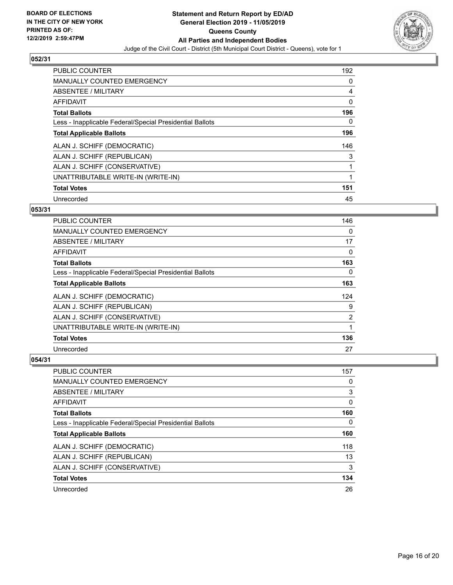

| <b>PUBLIC COUNTER</b>                                    | 192 |
|----------------------------------------------------------|-----|
| <b>MANUALLY COUNTED EMERGENCY</b>                        | 0   |
| ABSENTEE / MILITARY                                      | 4   |
| <b>AFFIDAVIT</b>                                         | 0   |
| <b>Total Ballots</b>                                     | 196 |
| Less - Inapplicable Federal/Special Presidential Ballots | 0   |
| <b>Total Applicable Ballots</b>                          | 196 |
| ALAN J. SCHIFF (DEMOCRATIC)                              | 146 |
| ALAN J. SCHIFF (REPUBLICAN)                              | 3   |
| ALAN J. SCHIFF (CONSERVATIVE)                            |     |
| UNATTRIBUTABLE WRITE-IN (WRITE-IN)                       | 1   |
| <b>Total Votes</b>                                       | 151 |
| Unrecorded                                               | 45  |

#### **053/31**

| <b>PUBLIC COUNTER</b>                                    | 146 |
|----------------------------------------------------------|-----|
| MANUALLY COUNTED EMERGENCY                               | 0   |
| <b>ABSENTEE / MILITARY</b>                               | 17  |
| AFFIDAVIT                                                | 0   |
| <b>Total Ballots</b>                                     | 163 |
| Less - Inapplicable Federal/Special Presidential Ballots | 0   |
| <b>Total Applicable Ballots</b>                          | 163 |
| ALAN J. SCHIFF (DEMOCRATIC)                              | 124 |
| ALAN J. SCHIFF (REPUBLICAN)                              | 9   |
| ALAN J. SCHIFF (CONSERVATIVE)                            | 2   |
| UNATTRIBUTABLE WRITE-IN (WRITE-IN)                       |     |
| <b>Total Votes</b>                                       | 136 |
| Unrecorded                                               | 27  |

| PUBLIC COUNTER                                           | 157 |
|----------------------------------------------------------|-----|
| <b>MANUALLY COUNTED EMERGENCY</b>                        | 0   |
| ABSENTEE / MILITARY                                      | 3   |
| AFFIDAVIT                                                | 0   |
| <b>Total Ballots</b>                                     | 160 |
| Less - Inapplicable Federal/Special Presidential Ballots | 0   |
| <b>Total Applicable Ballots</b>                          | 160 |
|                                                          | 118 |
| ALAN J. SCHIFF (DEMOCRATIC)                              |     |
| ALAN J. SCHIFF (REPUBLICAN)                              | 13  |
| ALAN J. SCHIFF (CONSERVATIVE)                            | 3   |
| <b>Total Votes</b>                                       | 134 |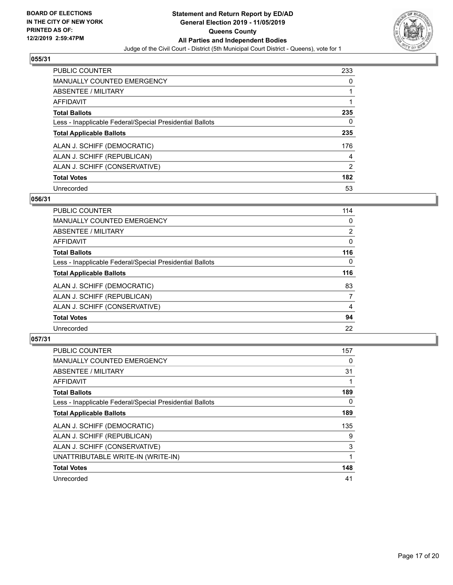

| PUBLIC COUNTER                                           | 233      |
|----------------------------------------------------------|----------|
| <b>MANUALLY COUNTED EMERGENCY</b>                        | $\Omega$ |
| ABSENTEE / MILITARY                                      |          |
| AFFIDAVIT                                                |          |
| <b>Total Ballots</b>                                     | 235      |
| Less - Inapplicable Federal/Special Presidential Ballots | 0        |
| <b>Total Applicable Ballots</b>                          | 235      |
| ALAN J. SCHIFF (DEMOCRATIC)                              | 176      |
| ALAN J. SCHIFF (REPUBLICAN)                              | 4        |
| ALAN J. SCHIFF (CONSERVATIVE)                            | 2        |
| <b>Total Votes</b>                                       | 182      |
| Unrecorded                                               | 53       |

#### **056/31**

| <b>PUBLIC COUNTER</b>                                    | 114            |
|----------------------------------------------------------|----------------|
| MANUALLY COUNTED EMERGENCY                               | 0              |
| ABSENTEE / MILITARY                                      | $\overline{2}$ |
| <b>AFFIDAVIT</b>                                         | $\Omega$       |
| <b>Total Ballots</b>                                     | 116            |
| Less - Inapplicable Federal/Special Presidential Ballots | $\Omega$       |
| <b>Total Applicable Ballots</b>                          | 116            |
| ALAN J. SCHIFF (DEMOCRATIC)                              | 83             |
| ALAN J. SCHIFF (REPUBLICAN)                              | 7              |
| ALAN J. SCHIFF (CONSERVATIVE)                            | 4              |
| <b>Total Votes</b>                                       | 94             |
| Unrecorded                                               | 22             |

| <b>PUBLIC COUNTER</b>                                    | 157 |
|----------------------------------------------------------|-----|
| <b>MANUALLY COUNTED EMERGENCY</b>                        | 0   |
| ABSENTEE / MILITARY                                      | 31  |
| <b>AFFIDAVIT</b>                                         |     |
| <b>Total Ballots</b>                                     | 189 |
| Less - Inapplicable Federal/Special Presidential Ballots | 0   |
| <b>Total Applicable Ballots</b>                          | 189 |
| ALAN J. SCHIFF (DEMOCRATIC)                              | 135 |
| ALAN J. SCHIFF (REPUBLICAN)                              | 9   |
| ALAN J. SCHIFF (CONSERVATIVE)                            | 3   |
| UNATTRIBUTABLE WRITE-IN (WRITE-IN)                       |     |
| <b>Total Votes</b>                                       | 148 |
| Unrecorded                                               | 41  |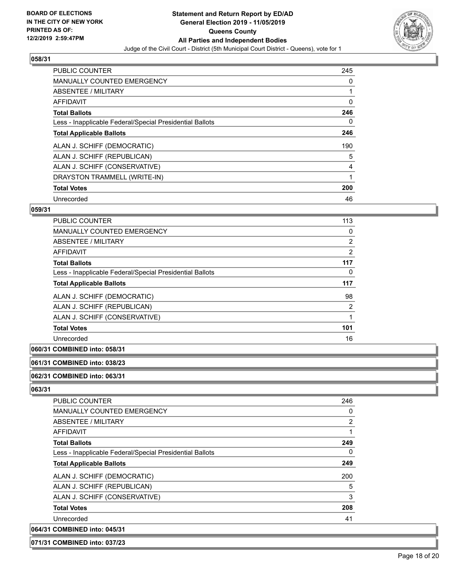

| PUBLIC COUNTER                                           | 245 |
|----------------------------------------------------------|-----|
| <b>MANUALLY COUNTED EMERGENCY</b>                        | 0   |
| ABSENTEE / MILITARY                                      | 1   |
| <b>AFFIDAVIT</b>                                         | 0   |
| <b>Total Ballots</b>                                     | 246 |
| Less - Inapplicable Federal/Special Presidential Ballots | 0   |
| <b>Total Applicable Ballots</b>                          | 246 |
| ALAN J. SCHIFF (DEMOCRATIC)                              | 190 |
| ALAN J. SCHIFF (REPUBLICAN)                              | 5   |
| ALAN J. SCHIFF (CONSERVATIVE)                            | 4   |
| DRAYSTON TRAMMELL (WRITE-IN)                             | 1   |
| <b>Total Votes</b>                                       | 200 |
| Unrecorded                                               | 46  |

#### **059/31**

| PUBLIC COUNTER                                           | 113            |
|----------------------------------------------------------|----------------|
| <b>MANUALLY COUNTED EMERGENCY</b>                        | 0              |
| ABSENTEE / MILITARY                                      | $\overline{2}$ |
| AFFIDAVIT                                                | 2              |
| <b>Total Ballots</b>                                     | 117            |
| Less - Inapplicable Federal/Special Presidential Ballots | 0              |
| <b>Total Applicable Ballots</b>                          | 117            |
| ALAN J. SCHIFF (DEMOCRATIC)                              | 98             |
| ALAN J. SCHIFF (REPUBLICAN)                              | 2              |
| ALAN J. SCHIFF (CONSERVATIVE)                            |                |
| <b>Total Votes</b>                                       | 101            |
| Unrecorded                                               | 16             |

# **060/31 COMBINED into: 058/31**

# **061/31 COMBINED into: 038/23**

**062/31 COMBINED into: 063/31**

#### **063/31**

| <b>PUBLIC COUNTER</b>                                    | 246 |
|----------------------------------------------------------|-----|
| MANUALLY COUNTED EMERGENCY                               | 0   |
| ABSENTEE / MILITARY                                      | 2   |
| AFFIDAVIT                                                |     |
| <b>Total Ballots</b>                                     | 249 |
| Less - Inapplicable Federal/Special Presidential Ballots | 0   |
| <b>Total Applicable Ballots</b>                          | 249 |
| ALAN J. SCHIFF (DEMOCRATIC)                              | 200 |
| ALAN J. SCHIFF (REPUBLICAN)                              | 5   |
| ALAN J. SCHIFF (CONSERVATIVE)                            | 3   |
| <b>Total Votes</b>                                       | 208 |
| Unrecorded                                               | 41  |
| 064/31 COMBINED into: 045/31                             |     |

#### **071/31 COMBINED into: 037/23**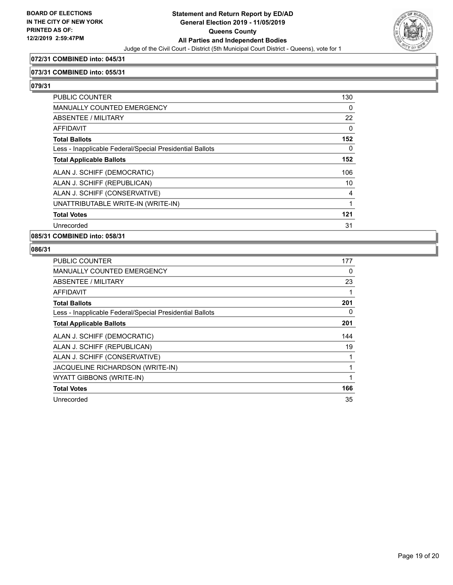

#### **072/31 COMBINED into: 045/31**

#### **073/31 COMBINED into: 055/31**

**079/31** 

| <b>PUBLIC COUNTER</b>                                    | 130      |
|----------------------------------------------------------|----------|
| <b>MANUALLY COUNTED EMERGENCY</b>                        | 0        |
| ABSENTEE / MILITARY                                      | 22       |
| <b>AFFIDAVIT</b>                                         | 0        |
| <b>Total Ballots</b>                                     | 152      |
| Less - Inapplicable Federal/Special Presidential Ballots | $\Omega$ |
| <b>Total Applicable Ballots</b>                          | 152      |
| ALAN J. SCHIFF (DEMOCRATIC)                              | 106      |
| ALAN J. SCHIFF (REPUBLICAN)                              | 10       |
| ALAN J. SCHIFF (CONSERVATIVE)                            | 4        |
| UNATTRIBUTABLE WRITE-IN (WRITE-IN)                       | 1        |
| <b>Total Votes</b>                                       | 121      |
| Unrecorded                                               | 31       |
|                                                          |          |

#### **085/31 COMBINED into: 058/31**

| <b>PUBLIC COUNTER</b>                                    | 177 |
|----------------------------------------------------------|-----|
| <b>MANUALLY COUNTED EMERGENCY</b>                        | 0   |
| ABSENTEE / MILITARY                                      | 23  |
| AFFIDAVIT                                                | 1   |
| <b>Total Ballots</b>                                     | 201 |
| Less - Inapplicable Federal/Special Presidential Ballots | 0   |
| <b>Total Applicable Ballots</b>                          | 201 |
| ALAN J. SCHIFF (DEMOCRATIC)                              | 144 |
| ALAN J. SCHIFF (REPUBLICAN)                              | 19  |
| ALAN J. SCHIFF (CONSERVATIVE)                            | 1   |
| JACQUELINE RICHARDSON (WRITE-IN)                         | 1   |
| WYATT GIBBONS (WRITE-IN)                                 | 1   |
| <b>Total Votes</b>                                       | 166 |
|                                                          |     |